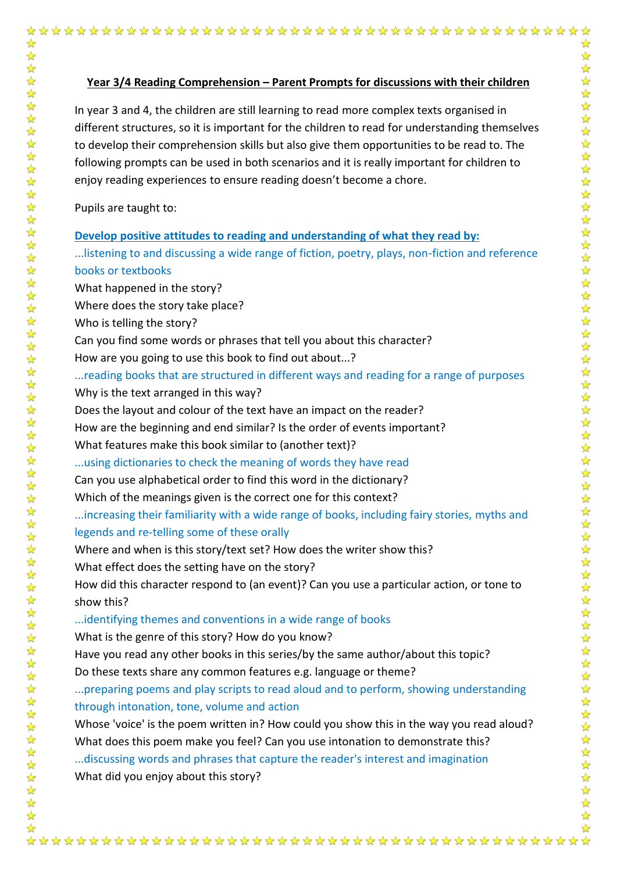## **Year 3/4 Reading Comprehension – Parent Prompts for discussions with their children**

In year 3 and 4, the children are still learning to read more complex texts organised in different structures, so it is important for the children to read for understanding themselves to develop their comprehension skills but also give them opportunities to be read to. The following prompts can be used in both scenarios and it is really important for children to enjoy reading experiences to ensure reading doesn't become a chore.

Pupils are taught to:

☆

女女女女女女女女女女女女

 $\frac{1}{\sqrt{2}}$  $\frac{1}{\sqrt{2}}$ ☆

## **Develop positive attitudes to reading and understanding of what they read by:**

...listening to and discussing a wide range of fiction, poetry, plays, non-fiction and reference books or textbooks

What happened in the story? Where does the story take place?

Who is telling the story?

Can you find some words or phrases that tell you about this character?

How are you going to use this book to find out about...?

...reading books that are structured in different ways and reading for a range of purposes Why is the text arranged in this way?

Does the layout and colour of the text have an impact on the reader?

How are the beginning and end similar? Is the order of events important?

What features make this book similar to (another text)?

...using dictionaries to check the meaning of words they have read

Can you use alphabetical order to find this word in the dictionary?

Which of the meanings given is the correct one for this context?

...increasing their familiarity with a wide range of books, including fairy stories, myths and legends and re-telling some of these orally

Where and when is this story/text set? How does the writer show this?

What effect does the setting have on the story?

How did this character respond to (an event)? Can you use a particular action, or tone to show this?

...identifying themes and conventions in a wide range of books

What is the genre of this story? How do you know?

Have you read any other books in this series/by the same author/about this topic? Do these texts share any common features e.g. language or theme?

...preparing poems and play scripts to read aloud and to perform, showing understanding through intonation, tone, volume and action

Whose 'voice' is the poem written in? How could you show this in the way you read aloud? What does this poem make you feel? Can you use intonation to demonstrate this? ...discussing words and phrases that capture the reader's interest and imagination

What did you enjoy about this story?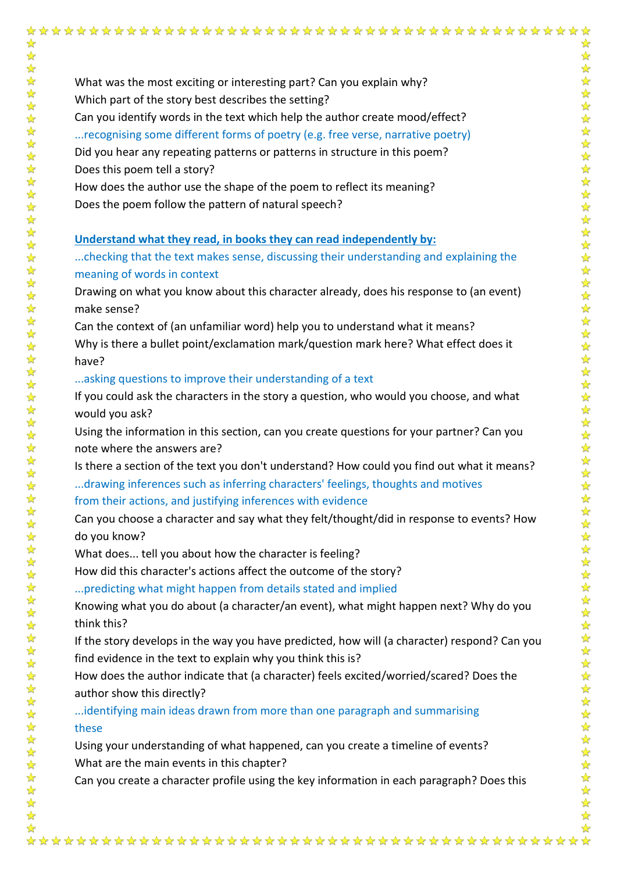$\frac{1}{\sqrt{2}}$ 

What was the most exciting or interesting part? Can you explain why? Which part of the story best describes the setting? Can you identify words in the text which help the author create mood/effect? ...recognising some different forms of poetry (e.g. free verse, narrative poetry) Did you hear any repeating patterns or patterns in structure in this poem? Does this poem tell a story? How does the author use the shape of the poem to reflect its meaning? Does the poem follow the pattern of natural speech?

## **Understand what they read, in books they can read independently by:**

...checking that the text makes sense, discussing their understanding and explaining the meaning of words in context

Drawing on what you know about this character already, does his response to (an event) make sense?

Can the context of (an unfamiliar word) help you to understand what it means? Why is there a bullet point/exclamation mark/question mark here? What effect does it have?

...asking questions to improve their understanding of a text

If you could ask the characters in the story a question, who would you choose, and what would you ask?

Using the information in this section, can you create questions for your partner? Can you note where the answers are?

Is there a section of the text you don't understand? How could you find out what it means? ...drawing inferences such as inferring characters' feelings, thoughts and motives

from their actions, and justifying inferences with evidence

Can you choose a character and say what they felt/thought/did in response to events? How do you know?

What does... tell you about how the character is feeling?

How did this character's actions affect the outcome of the story?

...predicting what might happen from details stated and implied

Knowing what you do about (a character/an event), what might happen next? Why do you think this?

If the story develops in the way you have predicted, how will (a character) respond? Can you find evidence in the text to explain why you think this is?

How does the author indicate that (a character) feels excited/worried/scared? Does the author show this directly?

...identifying main ideas drawn from more than one paragraph and summarising these

Using your understanding of what happened, can you create a timeline of events? What are the main events in this chapter?

Can you create a character profile using the key information in each paragraph? Does this